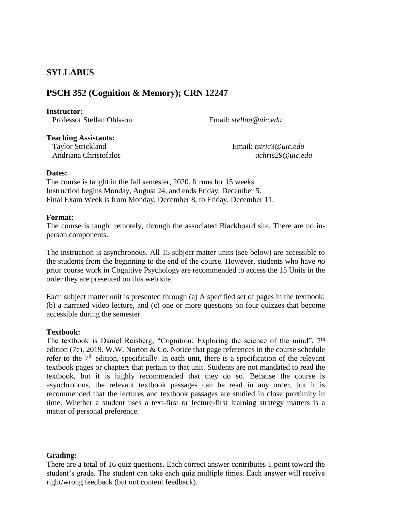# **SYLLABUS**

# **PSCH 352 (Cognition & Memory); CRN 12247**

#### **Instructor:**

Professor Stellan Ohlsson Email: *stellan@uic.edu*

**Teaching Assistants:**

 Taylor Strickland Email: *tstric3@uic.edu* Andriana Christofalos *achris29@uic.edu*

## **Dates:**

The course is taught in the fall semester, 2020. It runs for 15 weeks. Instruction begins Monday, August 24, and ends Friday, December 5. Final Exam Week is from Monday, December 8, to Friday, December 11.

## **Format:**

The course is taught remotely, through the associated Blackboard site. There are no inperson components.

The instruction is asynchronous. All 15 subject matter units (see below) are accessible to the students from the beginning to the end of the course. However, students who have *no* prior course work in Cognitive Psychology are recommended to access the 15 Units in the order they are presented on this web site.

Each subject matter unit is presented through (a) A specified set of pages in the textbook; (b) a narrated video lecture, and (c) one or more questions on four quizzes that become accessible during the semester.

# **Textbook:**

The textbook is Daniel Reisberg, "Cognition: Exploring the science of the mind", 7<sup>th</sup> edition (7e), 2019. W.W. Norton & Co. Notice that page references in the course schedule refer to the  $7<sup>th</sup>$  edition, specifically. In each unit, there is a specification of the relevant textbook pages or chapters that pertain to that unit. Students are not mandated to read the textbook, but it is highly recommended that they do so. Because the course is asynchronous, the relevant textbook passages can be read in any order, but it is recommended that the lectures and textbook passages are studied in close proximity in time. Whether a student uses a text-first or lecture-first learning strategy matters is a matter of personal preference.

# **Grading:**

There are a total of 16 quiz questions. Each correct answer contributes 1 point toward the student's grade. The student can take each quiz multiple times. Each answer will receive right/wrong feedback (but not content feedback).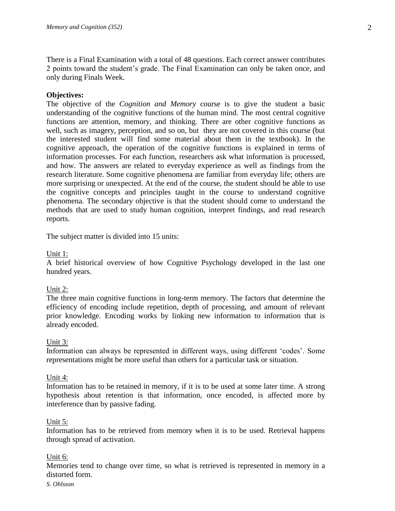There is a Final Examination with a total of 48 questions. Each correct answer contributes 2 points toward the student's grade. The Final Examination can only be taken once, and only during Finals Week.

## **Objectives:**

The objective of the *Cognition and Memory* course is to give the student a basic understanding of the cognitive functions of the human mind. The most central cognitive functions are attention, memory, and thinking. There are other cognitive functions as well, such as imagery, perception, and so on, but they are not covered in this course (but the interested student will find some material about them in the textbook). In the cognitive approach, the operation of the cognitive functions is explained in terms of information processes. For each function, researchers ask what information is processed, and how. The answers are related to everyday experience as well as findings from the research literature. Some cognitive phenomena are familiar from everyday life; others are more surprising or unexpected. At the end of the course, the student should be able to use the cognitive concepts and principles taught in the course to understand cognitive phenomena. The secondary objective is that the student should come to understand the methods that are used to study human cognition, interpret findings, and read research reports.

The subject matter is divided into 15 units:

## Unit 1:

A brief historical overview of how Cognitive Psychology developed in the last one hundred years.

#### Unit 2:

The three main cognitive functions in long-term memory. The factors that determine the efficiency of encoding include repetition, depth of processing, and amount of relevant prior knowledge. Encoding works by linking new information to information that is already encoded.

#### Unit 3:

Information can always be represented in different ways, using different 'codes'. Some representations might be more useful than others for a particular task or situation.

#### Unit 4:

Information has to be retained in memory, if it is to be used at some later time. A strong hypothesis about retention is that information, once encoded, is affected more by interference than by passive fading.

#### Unit 5:

Information has to be retrieved from memory when it is to be used. Retrieval happens through spread of activation.

#### Unit 6:

Memories tend to change over time, so what is retrieved is represented in memory in a distorted form.